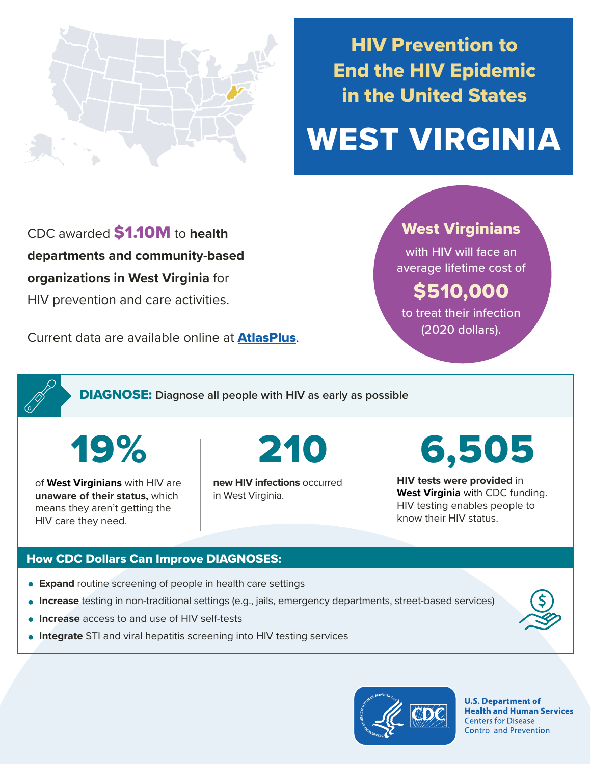

# HIV Prevention to End the HIV Epidemic in the United States

# WEST VIRGINIA

CDC awarded \$1.10M to **health departments and community-based organizations in West Virginia** for HIV prevention and care activities.

Current data are available online at **[AtlasPlus](https://www.cdc.gov/nchhstp/atlas/index.htm).** 

### West Virginians

with HIV will face an average lifetime cost of

## \$510,000

to treat their infection (2020 dollars).

DIAGNOSE: **Diagnose all people with HIV as early as possible** 

19%

of **West Virginians** with HIV are **unaware of their status,** which means they aren't getting the HIV care they need.

**new HIV infections** occurred in West Virginia.

210 6,505

**HIV tests were provided** in **West Virginia** with CDC funding. HIV testing enables people to know their HIV status.

#### How CDC Dollars Can Improve DIAGNOSES:

- **Expand** routine screening of people in health care settings
- **Increase** testing in non-traditional settings (e.g., jails, emergency departments, street-based services)
- **Increase** access to and use of HIV self-tests
- **Integrate** STI and viral hepatitis screening into HIV testing services



**U.S. Department of Health and Human Services Centers for Disease Control and Prevention**